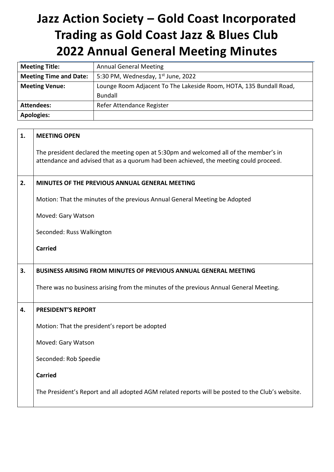# **Jazz Action Society – Gold Coast Incorporated Trading as Gold Coast Jazz & Blues Club 2022 Annual General Meeting Minutes**

| <b>Meeting Title:</b>         | <b>Annual General Meeting</b>                                      |
|-------------------------------|--------------------------------------------------------------------|
| <b>Meeting Time and Date:</b> | 5:30 PM, Wednesday, $1st$ June, 2022                               |
| <b>Meeting Venue:</b>         | Lounge Room Adjacent To The Lakeside Room, HOTA, 135 Bundall Road, |
|                               | Bundall                                                            |
| <b>Attendees:</b>             | Refer Attendance Register                                          |
| <b>Apologies:</b>             |                                                                    |

| 1. | <b>MEETING OPEN</b>                                                                                                                                                            |
|----|--------------------------------------------------------------------------------------------------------------------------------------------------------------------------------|
|    | The president declared the meeting open at 5:30pm and welcomed all of the member's in<br>attendance and advised that as a quorum had been achieved, the meeting could proceed. |
| 2. | MINUTES OF THE PREVIOUS ANNUAL GENERAL MEETING                                                                                                                                 |
|    | Motion: That the minutes of the previous Annual General Meeting be Adopted                                                                                                     |
|    | Moved: Gary Watson                                                                                                                                                             |
|    | Seconded: Russ Walkington                                                                                                                                                      |
|    | <b>Carried</b>                                                                                                                                                                 |
|    |                                                                                                                                                                                |
| 3. | <b>BUSINESS ARISING FROM MINUTES OF PREVIOUS ANNUAL GENERAL MEETING</b>                                                                                                        |
|    | There was no business arising from the minutes of the previous Annual General Meeting.                                                                                         |
| 4. | PRESIDENT'S REPORT                                                                                                                                                             |
|    | Motion: That the president's report be adopted                                                                                                                                 |
|    | Moved: Gary Watson                                                                                                                                                             |
|    | Seconded: Rob Speedie                                                                                                                                                          |
|    | <b>Carried</b>                                                                                                                                                                 |
|    | The President's Report and all adopted AGM related reports will be posted to the Club's website.                                                                               |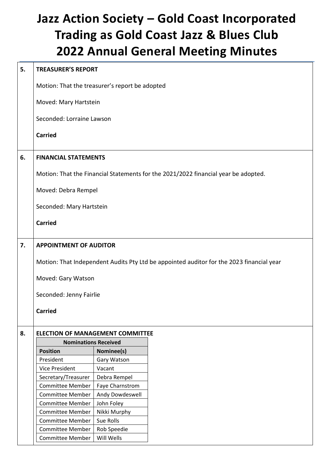## **Jazz Action Society – Gold Coast Incorporated Trading as Gold Coast Jazz & Blues Club 2022 Annual General Meeting Minutes**

### **5. TREASURER'S REPORT** Motion: That the treasurer's report be adopted Moved: Mary Hartstein Seconded: Lorraine Lawson **Carried 6. FINANCIAL STATEMENTS** Motion: That the Financial Statements for the 2021/2022 financial year be adopted. Moved: Debra Rempel Seconded: Mary Hartstein **Carried 7. APPOINTMENT OF AUDITOR** Motion: That Independent Audits Pty Ltd be appointed auditor for the 2023 financial year Moved: Gary Watson Seconded: Jenny Fairlie **Carried 8. ELECTION OF MANAGEMENT COMMITTEE Nominations Received Position Nominee(s)** President | Gary Watson Vice President | Vacant Secretary/Treasurer | Debra Rempel Committee Member | Faye Charnstrom Committee Member | Andy Dowdeswell Committee Member | John Foley Committee Member | Nikki Murphy Committee Member | Sue Rolls Committee Member | Rob Speedie

Committee Member | Will Wells